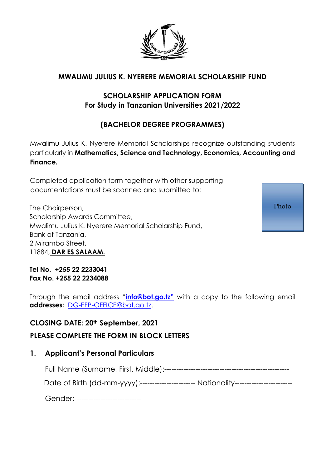

#### **MWALIMU JULIUS K. NYERERE MEMORIAL SCHOLARSHIP FUND**

#### **SCHOLARSHIP APPLICATION FORM For Study in Tanzanian Universities 2021/2022**

# **(BACHELOR DEGREE PROGRAMMES)**

Mwalimu Julius K. Nyerere Memorial Scholarships recognize outstanding students particularly in **Mathematics, Science and Technology, Economics, Accounting and Finance.**

Completed application form together with other supporting documentations must be scanned and submitted to:

The Chairperson, Scholarship Awards Committee, Mwalimu Julius K. Nyerere Memorial Scholarship Fund, Bank of Tanzania, 2 Mirambo Street, 11884, **DAR ES SALAAM.**

Photo

**Tel No. +255 22 2233041 Fax No. +255 22 2234088**

Through the email address "**info@bot.go.tz"** with a copy to the following email **addresses:** DG-EFP-OFFICE@bot.go.tz.

#### **CLOSING DATE: 20th September, 2021**

## **PLEASE COMPLETE THE FORM IN BLOCK LETTERS**

## **1. Applicant's Personal Particulars**

Full Name (Surname, First, Middle):----------------------------------------------------

Date of Birth (dd-mm-yyyy):------------------------ Nationality-----------------------

Gender:----------------------------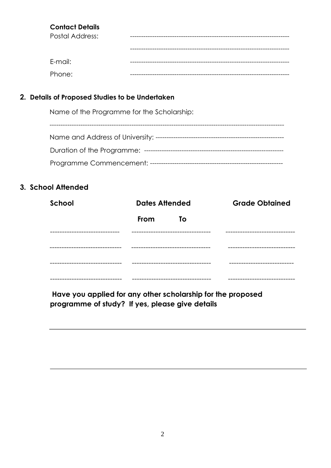| <b>Contact Details</b> |  |
|------------------------|--|
| <b>Postal Address:</b> |  |
|                        |  |
| E-mail:                |  |
| Phone:                 |  |

#### 2. Details of Proposed Studies to be Undertaken

Name of the Programme for the Scholarship:

| Programme Commencement: -------------------------------- |
|----------------------------------------------------------|

#### 3. School Attended

| School | <b>Dates Attended</b> |    | <b>Grade Obtained</b> |
|--------|-----------------------|----|-----------------------|
|        | From                  | To |                       |
|        |                       |    |                       |
|        |                       |    |                       |
|        |                       |    | _____________         |
|        |                       |    |                       |

Have you applied for any other scholarship for the proposed programme of study? If yes, please give details